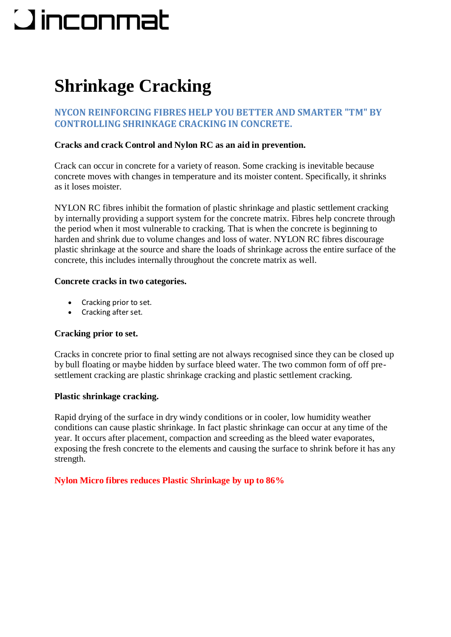# **Qinconmat**

# **Shrinkage Cracking**

# **NYCON REINFORCING FIBRES HELP YOU BETTER AND SMARTER "TM" BY CONTROLLING SHRINKAGE CRACKING IN CONCRETE.**

# **Cracks and crack Control and Nylon RC as an aid in prevention.**

Crack can occur in concrete for a variety of reason. Some cracking is inevitable because concrete moves with changes in temperature and its moister content. Specifically, it shrinks as it loses moister.

NYLON RC fibres inhibit the formation of plastic shrinkage and plastic settlement cracking by internally providing a support system for the concrete matrix. Fibres help concrete through the period when it most vulnerable to cracking. That is when the concrete is beginning to harden and shrink due to volume changes and loss of water. NYLON RC fibres discourage plastic shrinkage at the source and share the loads of shrinkage across the entire surface of the concrete, this includes internally throughout the concrete matrix as well.

# **Concrete cracks in two categories.**

- Cracking prior to set.
- Cracking after set.

# **Cracking prior to set.**

Cracks in concrete prior to final setting are not always recognised since they can be closed up by bull floating or maybe hidden by surface bleed water. The two common form of off presettlement cracking are plastic shrinkage cracking and plastic settlement cracking.

### **Plastic shrinkage cracking.**

Rapid drying of the surface in dry windy conditions or in cooler, low humidity weather conditions can cause plastic shrinkage. In fact plastic shrinkage can occur at any time of the year. It occurs after placement, compaction and screeding as the bleed water evaporates, exposing the fresh concrete to the elements and causing the surface to shrink before it has any strength.

# **Nylon Micro fibres reduces Plastic Shrinkage by up to 86%**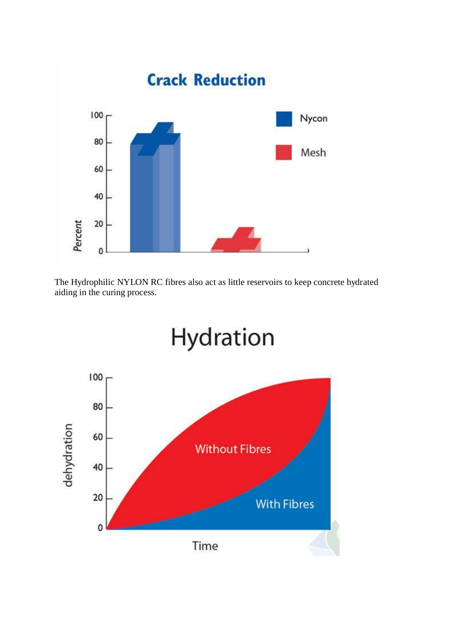

The Hydrophilic NYLON RC fibres also act as little reservoirs to keep concrete hydrated aiding in the curing process.

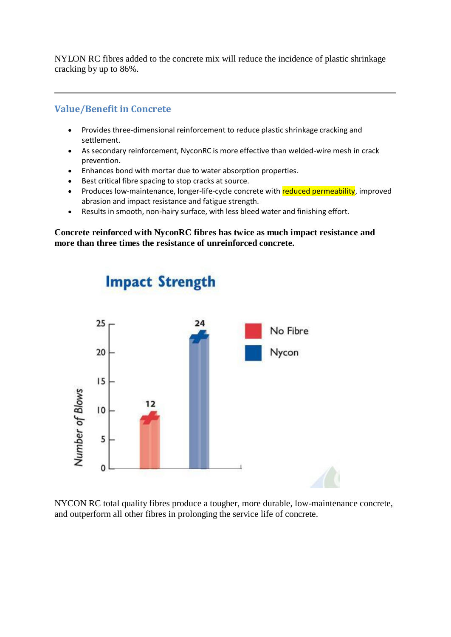NYLON RC fibres added to the concrete mix will reduce the incidence of plastic shrinkage cracking by up to 86%.

# **Value/Benefit in Concrete**

- Provides three-dimensional reinforcement to reduce plastic shrinkage cracking and settlement.
- As secondary reinforcement, NyconRC is more effective than welded-wire mesh in crack prevention.
- Enhances bond with mortar due to water absorption properties.
- Best critical fibre spacing to stop cracks at source.
- Produces low-maintenance, longer-life-cycle concrete with reduced permeability, improved abrasion and impact resistance and fatigue strength.
- Results in smooth, non-hairy surface, with less bleed water and finishing effort.

**Concrete reinforced with NyconRC fibres has twice as much impact resistance and more than three times the resistance of unreinforced concrete.**



NYCON RC total quality fibres produce a tougher, more durable, low-maintenance concrete, and outperform all other fibres in prolonging the service life of concrete.

# **Impact Strength**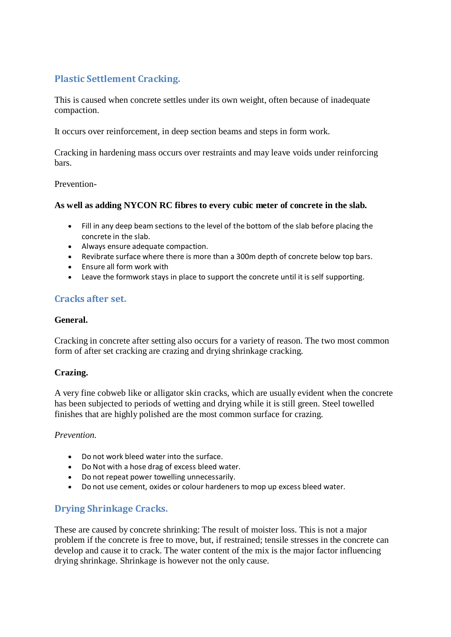# **Plastic Settlement Cracking.**

This is caused when concrete settles under its own weight, often because of inadequate compaction.

It occurs over reinforcement, in deep section beams and steps in form work.

Cracking in hardening mass occurs over restraints and may leave voids under reinforcing bars.

### Prevention-

### **As well as adding NYCON RC fibres to every cubic meter of concrete in the slab.**

- Fill in any deep beam sections to the level of the bottom of the slab before placing the concrete in the slab.
- Always ensure adequate compaction.
- Revibrate surface where there is more than a 300m depth of concrete below top bars.
- Ensure all form work with
- Leave the formwork stays in place to support the concrete until it is self supporting.

# **Cracks after set.**

### **General.**

Cracking in concrete after setting also occurs for a variety of reason. The two most common form of after set cracking are crazing and drying shrinkage cracking.

### **Crazing.**

A very fine cobweb like or alligator skin cracks, which are usually evident when the concrete has been subjected to periods of wetting and drying while it is still green. Steel towelled finishes that are highly polished are the most common surface for crazing.

### *Prevention.*

- Do not work bleed water into the surface.
- Do Not with a hose drag of excess bleed water.
- Do not repeat power towelling unnecessarily.
- Do not use cement, oxides or colour hardeners to mop up excess bleed water.

# **Drying Shrinkage Cracks.**

These are caused by concrete shrinking: The result of moister loss. This is not a major problem if the concrete is free to move, but, if restrained; tensile stresses in the concrete can develop and cause it to crack. The water content of the mix is the major factor influencing drying shrinkage. Shrinkage is however not the only cause.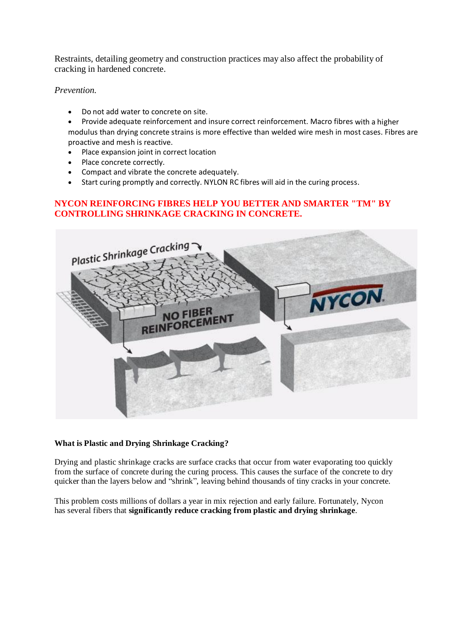Restraints, detailing geometry and construction practices may also affect the probability of cracking in hardened concrete.

### *Prevention.*

- Do not add water to concrete on site.
- Provide adequate reinforcement and insure correct reinforcement. Macro fibres with a higher modulus than drying concrete strains is more effective than welded wire mesh in most cases. Fibres are proactive and mesh is reactive.
- Place expansion joint in correct location
- Place concrete correctly.
- Compact and vibrate the concrete adequately.
- Start curing promptly and correctly. NYLON RC fibres will aid in the curing process.

### **NYCON REINFORCING FIBRES HELP YOU BETTER AND SMARTER "TM" BY CONTROLLING SHRINKAGE CRACKING IN CONCRETE.**



#### **What is Plastic and Drying Shrinkage Cracking?**

Drying and plastic shrinkage cracks are surface cracks that occur from water evaporating too quickly from the surface of concrete during the curing process. This causes the surface of the concrete to dry quicker than the layers below and "shrink", leaving behind thousands of tiny cracks in your concrete.

This problem costs millions of dollars a year in mix rejection and early failure. Fortunately, Nycon has several fibers that **significantly reduce cracking from plastic and drying shrinkage**.